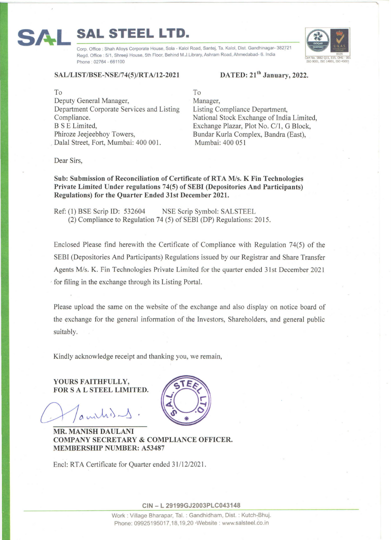## SAL/LIST/BSE-NSE/74(5)/RTA/12-2021 DATED: 21<sup>th</sup> January, 2022.

Phone: 02764 - 661100

**SAL STEEL LTD.** 

To Deputy General Manager, Department Corporate Services and Listing Compliance. B S E Limited, Phiroze Jeejeebhoy Towers, . Dalal Street, Fort, Mumbai: 400 001.

## To Manager, Listing Compliance Department, National Stock Exchange of India Limited, Exchange Plazar, Plot No. C/1, G Block, Bundar Kurla Complex, Bandra (East), Mumbai: 400 051

Dear Sirs,

Sub: Submission of Reconciliation of Certificate of RT A *Mis.* K Fin Technologies Private Limited Under regulations 74(5) of SEBI (Depositories And Participants) Regulations) for the Quarter Ended 31st December 2021.

Corp. Office : Shah Alloys Corporate House, Sola - Kalol Road, Santej, Ta. Kalol, Dist. Gandhinagar- 382721 Regd, Office : 5/1, Shreeji House, 5th Floor, Behind M.J.Library, Ashram Road, Ahmedabad- 6. India

Ref: (1) BSE Scrip ID: 532604 NSE Scrip Symbol: SALSTEEL  $(2)$  Compliance to Regulation 74  $(5)$  of SEBI (DP) Regulations: 2015.

Enclosed Please find herewith the Certificate of Compliance with Regulation 74(5) of the SEBI (Depositories And Participants) Regulations issued by our Registrar and Share Transfer Agents *Mis.* K. Fin Technologies Private Limited for the quarter ended 31st December 2021 · for filing in the exchange through its Listing Portal.

Please upload the same on the website of the exchange and also display on notice board of the exchange for the general information of the Investors, Shareholders, and general public suitably.

Kindly acknowledge receipt and thanking you, we remain,

YOURS FAITHFULLY, FOR S A L STEEL LIMITED.

authis 1

MR. MANISH DAULANI COMPANY SECRETARY & COMPLIANCE OFFICER. MEMBERSHIP NUMBER: A53487

Encl: RTA Certificate for Quarter ended 31/12/2021.



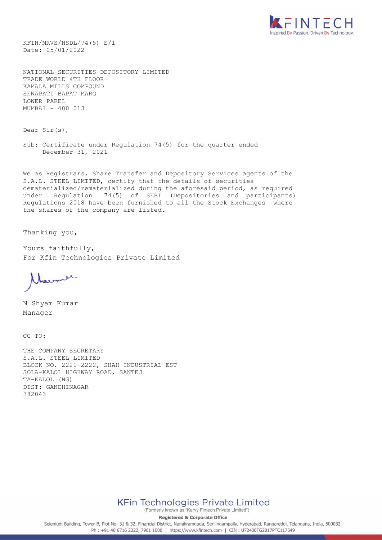

KFIN/MRVS/NSDL/74(5) E/1 Date: 05/01/2022

NATIONAL SECURITIES DEPOSITORY LIMITED TRADE WORLD 4TH FLOOR KAMALA MILLS COMPOUND SENAPATI BAPAT MARG LOWER PAREL MUMBAI - 400 013

Dear Sir(s),

Sub: Certificate under Regulation 74(5) for the quarter ended December 31, 2021

We as Registrars, Share Transfer and Depository Services agents of the S.A.L. STEEL LIMITED, certify that the details of securities dematerialized/rematerialized during the aforesaid period, as required under Regulation 74(5) of SEBI (Depositories and participants) Regulations 2018 have been furnished to all the Stock Exchanges where the shares of the company are listed.

Thanking you,

Yours faithfully, For Kfin Technologies Private Limited

Marmer.

N Shyam Kumar Manager

CC TO:

THE COMPANY SECRETARY S.A.L. STEEL LIMITED BLOCK NO. 2221-2222, SHAH INDUSTRIAL EST SOLA-KALOL HIGHWAY ROAD, SANTEJ TA-KALOL (NG) DIST: GANDHINAGAR 382043



(Formerly known as "Karvy Fintech Private Limited")

**Registered & Corporate Office** 

Selenium Building, Tower-B, Plot No- 31 & 32, Financial District, Nanakramguda, Serilingampally, Hyderabad, Rangareddi, Telangana, India, 500032. Ph: +91 40 6716 2222, 7961 1000 | https://www.kfintech.com | CIN: U72400TG2017PTC117649